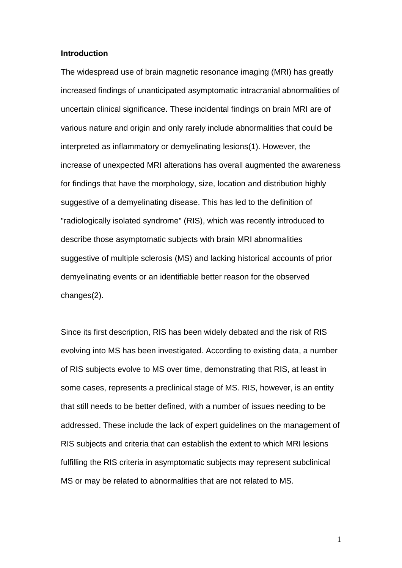#### **Introduction**

The widespread use of brain magnetic resonance imaging (MRI) has greatly increased findings of unanticipated asymptomatic intracranial abnormalities of uncertain clinical significance. These incidental findings on brain MRI are of various nature and origin and only rarely include abnormalities that could be interpreted as inflammatory or demyelinating lesions(1). However, the increase of unexpected MRI alterations has overall augmented the awareness for findings that have the morphology, size, location and distribution highly suggestive of a demyelinating disease. This has led to the definition of "radiologically isolated syndrome" (RIS), which was recently introduced to describe those asymptomatic subjects with brain MRI abnormalities suggestive of multiple sclerosis (MS) and lacking historical accounts of prior demyelinating events or an identifiable better reason for the observed changes(2).

Since its first description, RIS has been widely debated and the risk of RIS evolving into MS has been investigated. According to existing data, a number of RIS subjects evolve to MS over time, demonstrating that RIS, at least in some cases, represents a preclinical stage of MS. RIS, however, is an entity that still needs to be better defined, with a number of issues needing to be addressed. These include the lack of expert guidelines on the management of RIS subjects and criteria that can establish the extent to which MRI lesions fulfilling the RIS criteria in asymptomatic subjects may represent subclinical MS or may be related to abnormalities that are not related to MS.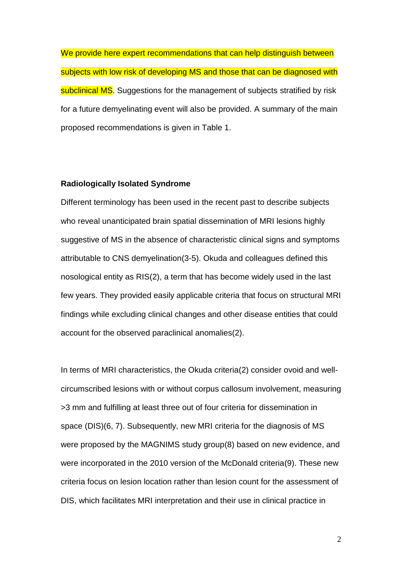We provide here expert recommendations that can help distinguish between subjects with low risk of developing MS and those that can be diagnosed with subclinical MS. Suggestions for the management of subjects stratified by risk for a future demyelinating event will also be provided. A summary of the main proposed recommendations is given in Table 1.

#### **Radiologically Isolated Syndrome**

Different terminology has been used in the recent past to describe subjects who reveal unanticipated brain spatial dissemination of MRI lesions highly suggestive of MS in the absence of characteristic clinical signs and symptoms attributable to CNS demyelination(3-5). Okuda and colleagues defined this nosological entity as RIS(2), a term that has become widely used in the last few years. They provided easily applicable criteria that focus on structural MRI findings while excluding clinical changes and other disease entities that could account for the observed paraclinical anomalies(2).

In terms of MRI characteristics, the Okuda criteria(2) consider ovoid and wellcircumscribed lesions with or without corpus callosum involvement, measuring >3 mm and fulfilling at least three out of four criteria for dissemination in space (DIS)(6, 7). Subsequently, new MRI criteria for the diagnosis of MS were proposed by the MAGNIMS study group(8) based on new evidence, and were incorporated in the 2010 version of the McDonald criteria(9). These new criteria focus on lesion location rather than lesion count for the assessment of DIS, which facilitates MRI interpretation and their use in clinical practice in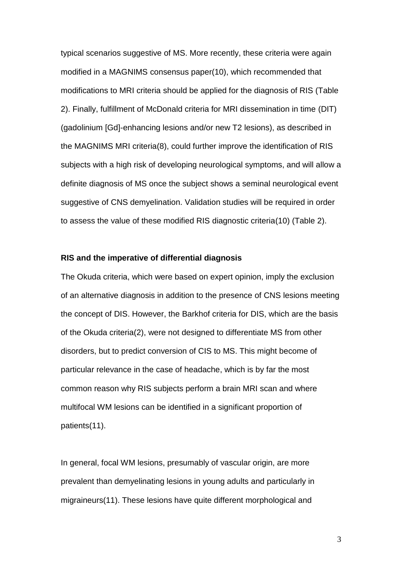typical scenarios suggestive of MS. More recently, these criteria were again modified in a MAGNIMS consensus paper(10), which recommended that modifications to MRI criteria should be applied for the diagnosis of RIS (Table 2). Finally, fulfillment of McDonald criteria for MRI dissemination in time (DIT) (gadolinium [Gd]-enhancing lesions and/or new T2 lesions), as described in the MAGNIMS MRI criteria(8), could further improve the identification of RIS subjects with a high risk of developing neurological symptoms, and will allow a definite diagnosis of MS once the subject shows a seminal neurological event suggestive of CNS demyelination. Validation studies will be required in order to assess the value of these modified RIS diagnostic criteria(10) (Table 2).

#### **RIS and the imperative of differential diagnosis**

The Okuda criteria, which were based on expert opinion, imply the exclusion of an alternative diagnosis in addition to the presence of CNS lesions meeting the concept of DIS. However, the Barkhof criteria for DIS, which are the basis of the Okuda criteria(2), were not designed to differentiate MS from other disorders, but to predict conversion of CIS to MS. This might become of particular relevance in the case of headache, which is by far the most common reason why RIS subjects perform a brain MRI scan and where multifocal WM lesions can be identified in a significant proportion of patients(11).

In general, focal WM lesions, presumably of vascular origin, are more prevalent than demyelinating lesions in young adults and particularly in migraineurs(11). These lesions have quite different morphological and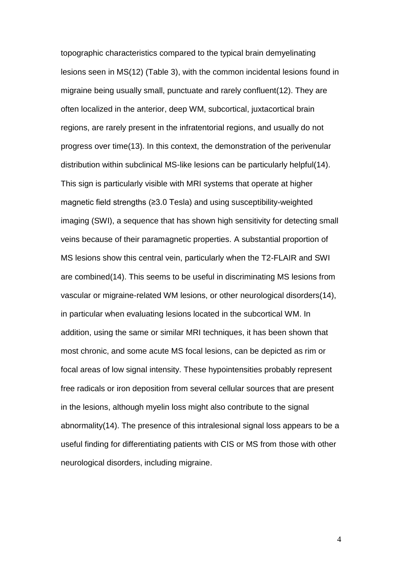topographic characteristics compared to the typical brain demyelinating lesions seen in MS(12) (Table 3), with the common incidental lesions found in migraine being usually small, punctuate and rarely confluent(12). They are often localized in the anterior, deep WM, subcortical, juxtacortical brain regions, are rarely present in the infratentorial regions, and usually do not progress over time(13). In this context, the demonstration of the perivenular distribution within subclinical MS-like lesions can be particularly helpful(14). This sign is particularly visible with MRI systems that operate at higher magnetic field strengths (≥3.0 Tesla) and using susceptibility-weighted imaging (SWI), a sequence that has shown high sensitivity for detecting small veins because of their paramagnetic properties. A substantial proportion of MS lesions show this central vein, particularly when the T2-FLAIR and SWI are combined(14). This seems to be useful in discriminating MS lesions from vascular or migraine-related WM lesions, or other neurological disorders(14), in particular when evaluating lesions located in the subcortical WM. In addition, using the same or similar MRI techniques, it has been shown that most chronic, and some acute MS focal lesions, can be depicted as rim or focal areas of low signal intensity. These hypointensities probably represent free radicals or iron deposition from several cellular sources that are present in the lesions, although myelin loss might also contribute to the signal abnormality(14). The presence of this intralesional signal loss appears to be a useful finding for differentiating patients with CIS or MS from those with other neurological disorders, including migraine.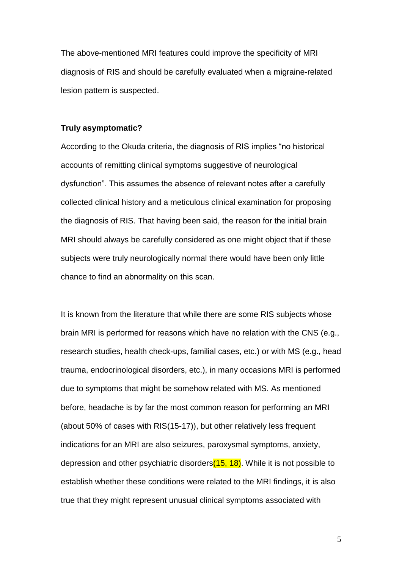The above-mentioned MRI features could improve the specificity of MRI diagnosis of RIS and should be carefully evaluated when a migraine-related lesion pattern is suspected.

#### **Truly asymptomatic?**

According to the Okuda criteria, the diagnosis of RIS implies "no historical accounts of remitting clinical symptoms suggestive of neurological dysfunction". This assumes the absence of relevant notes after a carefully collected clinical history and a meticulous clinical examination for proposing the diagnosis of RIS. That having been said, the reason for the initial brain MRI should always be carefully considered as one might object that if these subjects were truly neurologically normal there would have been only little chance to find an abnormality on this scan.

It is known from the literature that while there are some RIS subjects whose brain MRI is performed for reasons which have no relation with the CNS (e.g., research studies, health check-ups, familial cases, etc.) or with MS (e.g., head trauma, endocrinological disorders, etc.), in many occasions MRI is performed due to symptoms that might be somehow related with MS. As mentioned before, headache is by far the most common reason for performing an MRI (about 50% of cases with RIS(15-17)), but other relatively less frequent indications for an MRI are also seizures, paroxysmal symptoms, anxiety, depression and other psychiatric disorders $(15, 18)$ . While it is not possible to establish whether these conditions were related to the MRI findings, it is also true that they might represent unusual clinical symptoms associated with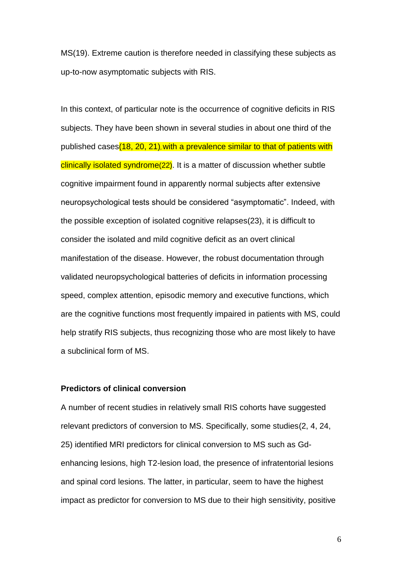MS(19). Extreme caution is therefore needed in classifying these subjects as up-to-now asymptomatic subjects with RIS.

In this context, of particular note is the occurrence of cognitive deficits in RIS subjects. They have been shown in several studies in about one third of the published cases(18, 20, 21), with a prevalence similar to that of patients with clinically isolated syndrome(22). It is a matter of discussion whether subtle cognitive impairment found in apparently normal subjects after extensive neuropsychological tests should be considered "asymptomatic". Indeed, with the possible exception of isolated cognitive relapses(23), it is difficult to consider the isolated and mild cognitive deficit as an overt clinical manifestation of the disease. However, the robust documentation through validated neuropsychological batteries of deficits in information processing speed, complex attention, episodic memory and executive functions, which are the cognitive functions most frequently impaired in patients with MS, could help stratify RIS subjects, thus recognizing those who are most likely to have a subclinical form of MS.

### **Predictors of clinical conversion**

A number of recent studies in relatively small RIS cohorts have suggested relevant predictors of conversion to MS. Specifically, some studies(2, 4, 24, 25) identified MRI predictors for clinical conversion to MS such as Gdenhancing lesions, high T2-lesion load, the presence of infratentorial lesions and spinal cord lesions. The latter, in particular, seem to have the highest impact as predictor for conversion to MS due to their high sensitivity, positive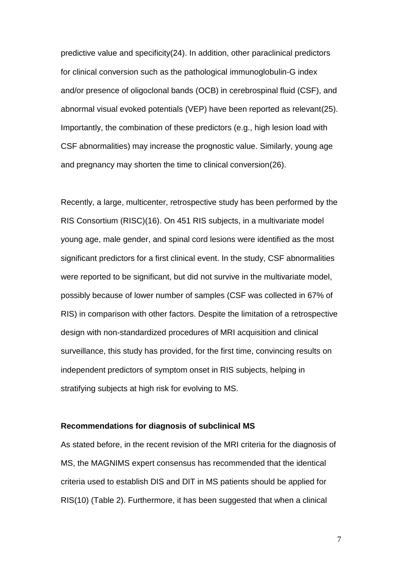predictive value and specificity(24). In addition, other paraclinical predictors for clinical conversion such as the pathological immunoglobulin-G index and/or presence of oligoclonal bands (OCB) in cerebrospinal fluid (CSF), and abnormal visual evoked potentials (VEP) have been reported as relevant(25). Importantly, the combination of these predictors (e.g., high lesion load with CSF abnormalities) may increase the prognostic value. Similarly, young age and pregnancy may shorten the time to clinical conversion(26).

Recently, a large, multicenter, retrospective study has been performed by the RIS Consortium (RISC)(16). On 451 RIS subjects, in a multivariate model young age, male gender, and spinal cord lesions were identified as the most significant predictors for a first clinical event. In the study, CSF abnormalities were reported to be significant, but did not survive in the multivariate model, possibly because of lower number of samples (CSF was collected in 67% of RIS) in comparison with other factors. Despite the limitation of a retrospective design with non-standardized procedures of MRI acquisition and clinical surveillance, this study has provided, for the first time, convincing results on independent predictors of symptom onset in RIS subjects, helping in stratifying subjects at high risk for evolving to MS.

### **Recommendations for diagnosis of subclinical MS**

As stated before, in the recent revision of the MRI criteria for the diagnosis of MS, the MAGNIMS expert consensus has recommended that the identical criteria used to establish DIS and DIT in MS patients should be applied for RIS(10) (Table 2). Furthermore, it has been suggested that when a clinical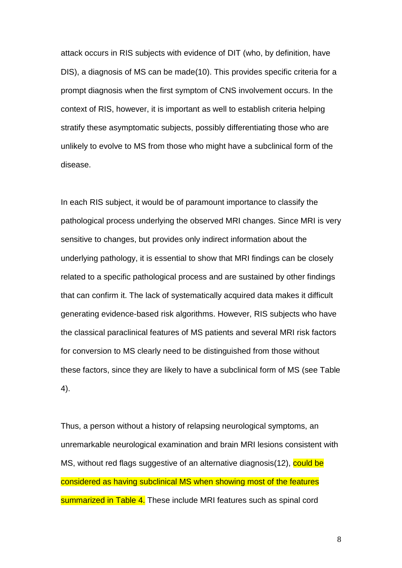attack occurs in RIS subjects with evidence of DIT (who, by definition, have DIS), a diagnosis of MS can be made(10). This provides specific criteria for a prompt diagnosis when the first symptom of CNS involvement occurs. In the context of RIS, however, it is important as well to establish criteria helping stratify these asymptomatic subjects, possibly differentiating those who are unlikely to evolve to MS from those who might have a subclinical form of the disease.

In each RIS subject, it would be of paramount importance to classify the pathological process underlying the observed MRI changes. Since MRI is very sensitive to changes, but provides only indirect information about the underlying pathology, it is essential to show that MRI findings can be closely related to a specific pathological process and are sustained by other findings that can confirm it. The lack of systematically acquired data makes it difficult generating evidence-based risk algorithms. However, RIS subjects who have the classical paraclinical features of MS patients and several MRI risk factors for conversion to MS clearly need to be distinguished from those without these factors, since they are likely to have a subclinical form of MS (see Table 4).

Thus, a person without a history of relapsing neurological symptoms, an unremarkable neurological examination and brain MRI lesions consistent with MS, without red flags suggestive of an alternative diagnosis(12), could be considered as having subclinical MS when showing most of the features summarized in Table 4. These include MRI features such as spinal cord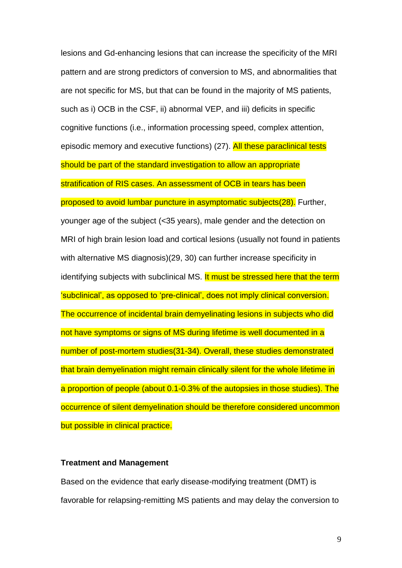lesions and Gd-enhancing lesions that can increase the specificity of the MRI pattern and are strong predictors of conversion to MS, and abnormalities that are not specific for MS, but that can be found in the majority of MS patients, such as i) OCB in the CSF, ii) abnormal VEP, and iii) deficits in specific cognitive functions (i.e., information processing speed, complex attention, episodic memory and executive functions) (27). All these paraclinical tests should be part of the standard investigation to allow an appropriate stratification of RIS cases. An assessment of OCB in tears has been proposed to avoid lumbar puncture in asymptomatic subjects(28). Further, younger age of the subject (<35 years), male gender and the detection on MRI of high brain lesion load and cortical lesions (usually not found in patients with alternative MS diagnosis)(29, 30) can further increase specificity in identifying subjects with subclinical MS. It must be stressed here that the term 'subclinical', as opposed to 'pre-clinical', does not imply clinical conversion. The occurrence of incidental brain demyelinating lesions in subjects who did not have symptoms or signs of MS during lifetime is well documented in a number of post-mortem studies(31-34). Overall, these studies demonstrated that brain demyelination might remain clinically silent for the whole lifetime in a proportion of people (about 0.1-0.3% of the autopsies in those studies). The occurrence of silent demyelination should be therefore considered uncommon but possible in clinical practice.

### **Treatment and Management**

Based on the evidence that early disease-modifying treatment (DMT) is favorable for relapsing-remitting MS patients and may delay the conversion to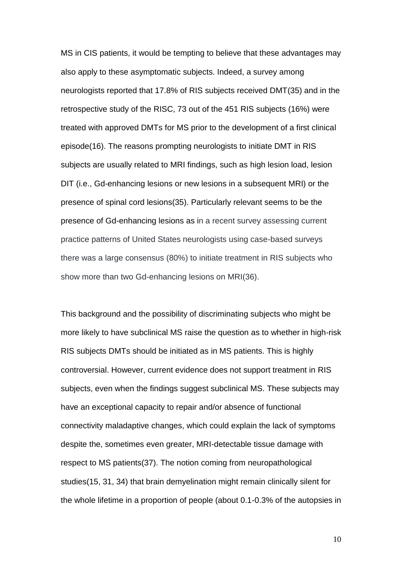MS in CIS patients, it would be tempting to believe that these advantages may also apply to these asymptomatic subjects. Indeed, a survey among neurologists reported that 17.8% of RIS subjects received DMT(35) and in the retrospective study of the RISC, 73 out of the 451 RIS subjects (16%) were treated with approved DMTs for MS prior to the development of a first clinical episode(16). The reasons prompting neurologists to initiate DMT in RIS subjects are usually related to MRI findings, such as high lesion load, lesion DIT (i.e., Gd-enhancing lesions or new lesions in a subsequent MRI) or the presence of spinal cord lesions(35). Particularly relevant seems to be the presence of Gd-enhancing lesions as in a recent survey assessing current practice patterns of United States neurologists using case-based surveys there was a large consensus (80%) to initiate treatment in RIS subjects who show more than two Gd-enhancing lesions on MRI(36).

This background and the possibility of discriminating subjects who might be more likely to have subclinical MS raise the question as to whether in high-risk RIS subjects DMTs should be initiated as in MS patients. This is highly controversial. However, current evidence does not support treatment in RIS subjects, even when the findings suggest subclinical MS. These subjects may have an exceptional capacity to repair and/or absence of functional connectivity maladaptive changes, which could explain the lack of symptoms despite the, sometimes even greater, MRI-detectable tissue damage with respect to MS patients(37). The notion coming from neuropathological studies(15, 31, 34) that brain demyelination might remain clinically silent for the whole lifetime in a proportion of people (about 0.1-0.3% of the autopsies in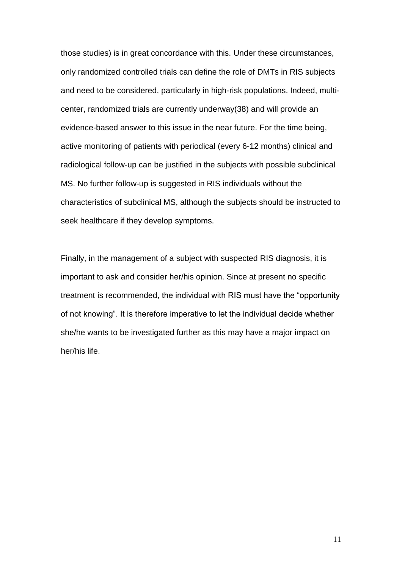those studies) is in great concordance with this. Under these circumstances, only randomized controlled trials can define the role of DMTs in RIS subjects and need to be considered, particularly in high-risk populations. Indeed, multicenter, randomized trials are currently underway(38) and will provide an evidence-based answer to this issue in the near future. For the time being, active monitoring of patients with periodical (every 6-12 months) clinical and radiological follow-up can be justified in the subjects with possible subclinical MS. No further follow-up is suggested in RIS individuals without the characteristics of subclinical MS, although the subjects should be instructed to seek healthcare if they develop symptoms.

Finally, in the management of a subject with suspected RIS diagnosis, it is important to ask and consider her/his opinion. Since at present no specific treatment is recommended, the individual with RIS must have the "opportunity of not knowing". It is therefore imperative to let the individual decide whether she/he wants to be investigated further as this may have a major impact on her/his life.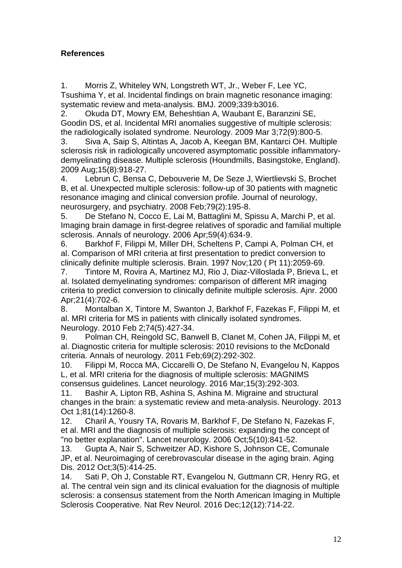# **References**

1. Morris Z, Whiteley WN, Longstreth WT, Jr., Weber F, Lee YC, Tsushima Y, et al. Incidental findings on brain magnetic resonance imaging: systematic review and meta-analysis. BMJ. 2009;339:b3016.

2. Okuda DT, Mowry EM, Beheshtian A, Waubant E, Baranzini SE, Goodin DS, et al. Incidental MRI anomalies suggestive of multiple sclerosis: the radiologically isolated syndrome. Neurology. 2009 Mar 3;72(9):800-5.

3. Siva A, Saip S, Altintas A, Jacob A, Keegan BM, Kantarci OH. Multiple sclerosis risk in radiologically uncovered asymptomatic possible inflammatorydemyelinating disease. Multiple sclerosis (Houndmills, Basingstoke, England). 2009 Aug;15(8):918-27.

4. Lebrun C, Bensa C, Debouverie M, De Seze J, Wiertlievski S, Brochet B, et al. Unexpected multiple sclerosis: follow-up of 30 patients with magnetic resonance imaging and clinical conversion profile. Journal of neurology, neurosurgery, and psychiatry. 2008 Feb;79(2):195-8.

5. De Stefano N, Cocco E, Lai M, Battaglini M, Spissu A, Marchi P, et al. Imaging brain damage in first-degree relatives of sporadic and familial multiple sclerosis. Annals of neurology. 2006 Apr;59(4):634-9.

6. Barkhof F, Filippi M, Miller DH, Scheltens P, Campi A, Polman CH, et al. Comparison of MRI criteria at first presentation to predict conversion to clinically definite multiple sclerosis. Brain. 1997 Nov;120 ( Pt 11):2059-69.

7. Tintore M, Rovira A, Martinez MJ, Rio J, Diaz-Villoslada P, Brieva L, et al. Isolated demyelinating syndromes: comparison of different MR imaging criteria to predict conversion to clinically definite multiple sclerosis. Ajnr. 2000 Apr;21(4):702-6.

8. Montalban X, Tintore M, Swanton J, Barkhof F, Fazekas F, Filippi M, et al. MRI criteria for MS in patients with clinically isolated syndromes. Neurology. 2010 Feb 2;74(5):427-34.

9. Polman CH, Reingold SC, Banwell B, Clanet M, Cohen JA, Filippi M, et al. Diagnostic criteria for multiple sclerosis: 2010 revisions to the McDonald criteria. Annals of neurology. 2011 Feb;69(2):292-302.

10. Filippi M, Rocca MA, Ciccarelli O, De Stefano N, Evangelou N, Kappos L, et al. MRI criteria for the diagnosis of multiple sclerosis: MAGNIMS consensus guidelines. Lancet neurology. 2016 Mar;15(3):292-303.

11. Bashir A, Lipton RB, Ashina S, Ashina M. Migraine and structural changes in the brain: a systematic review and meta-analysis. Neurology. 2013 Oct 1;81(14):1260-8.

12. Charil A, Yousry TA, Rovaris M, Barkhof F, De Stefano N, Fazekas F, et al. MRI and the diagnosis of multiple sclerosis: expanding the concept of "no better explanation". Lancet neurology. 2006 Oct;5(10):841-52.

13. Gupta A, Nair S, Schweitzer AD, Kishore S, Johnson CE, Comunale JP, et al. Neuroimaging of cerebrovascular disease in the aging brain. Aging Dis. 2012 Oct;3(5):414-25.

14. Sati P, Oh J, Constable RT, Evangelou N, Guttmann CR, Henry RG, et al. The central vein sign and its clinical evaluation for the diagnosis of multiple sclerosis: a consensus statement from the North American Imaging in Multiple Sclerosis Cooperative. Nat Rev Neurol. 2016 Dec;12(12):714-22.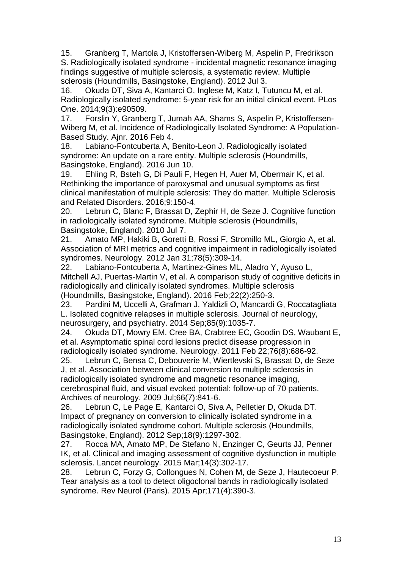15. Granberg T, Martola J, Kristoffersen-Wiberg M, Aspelin P, Fredrikson S. Radiologically isolated syndrome - incidental magnetic resonance imaging findings suggestive of multiple sclerosis, a systematic review. Multiple sclerosis (Houndmills, Basingstoke, England). 2012 Jul 3.

16. Okuda DT, Siva A, Kantarci O, Inglese M, Katz I, Tutuncu M, et al. Radiologically isolated syndrome: 5-year risk for an initial clinical event. PLos One. 2014;9(3):e90509.

17. Forslin Y, Granberg T, Jumah AA, Shams S, Aspelin P, Kristoffersen-Wiberg M, et al. Incidence of Radiologically Isolated Syndrome: A Population-Based Study. Ajnr. 2016 Feb 4.

18. Labiano-Fontcuberta A, Benito-Leon J. Radiologically isolated syndrome: An update on a rare entity. Multiple sclerosis (Houndmills, Basingstoke, England). 2016 Jun 10.

19. Ehling R, Bsteh G, Di Pauli F, Hegen H, Auer M, Obermair K, et al. Rethinking the importance of paroxysmal and unusual symptoms as first clinical manifestation of multiple sclerosis: They do matter. Multiple Sclerosis and Related Disorders. 2016;9:150-4.

20. Lebrun C, Blanc F, Brassat D, Zephir H, de Seze J. Cognitive function in radiologically isolated syndrome. Multiple sclerosis (Houndmills, Basingstoke, England). 2010 Jul 7.

21. Amato MP, Hakiki B, Goretti B, Rossi F, Stromillo ML, Giorgio A, et al. Association of MRI metrics and cognitive impairment in radiologically isolated syndromes. Neurology. 2012 Jan 31;78(5):309-14.

22. Labiano-Fontcuberta A, Martinez-Gines ML, Aladro Y, Ayuso L, Mitchell AJ, Puertas-Martin V, et al. A comparison study of cognitive deficits in radiologically and clinically isolated syndromes. Multiple sclerosis (Houndmills, Basingstoke, England). 2016 Feb;22(2):250-3.

23. Pardini M, Uccelli A, Grafman J, Yaldizli O, Mancardi G, Roccatagliata L. Isolated cognitive relapses in multiple sclerosis. Journal of neurology, neurosurgery, and psychiatry. 2014 Sep;85(9):1035-7.

24. Okuda DT, Mowry EM, Cree BA, Crabtree EC, Goodin DS, Waubant E, et al. Asymptomatic spinal cord lesions predict disease progression in radiologically isolated syndrome. Neurology. 2011 Feb 22;76(8):686-92.

25. Lebrun C, Bensa C, Debouverie M, Wiertlevski S, Brassat D, de Seze J, et al. Association between clinical conversion to multiple sclerosis in radiologically isolated syndrome and magnetic resonance imaging, cerebrospinal fluid, and visual evoked potential: follow-up of 70 patients. Archives of neurology. 2009 Jul;66(7):841-6.

26. Lebrun C, Le Page E, Kantarci O, Siva A, Pelletier D, Okuda DT. Impact of pregnancy on conversion to clinically isolated syndrome in a radiologically isolated syndrome cohort. Multiple sclerosis (Houndmills, Basingstoke, England). 2012 Sep;18(9):1297-302.

27. Rocca MA, Amato MP, De Stefano N, Enzinger C, Geurts JJ, Penner IK, et al. Clinical and imaging assessment of cognitive dysfunction in multiple sclerosis. Lancet neurology. 2015 Mar;14(3):302-17.

28. Lebrun C, Forzy G, Collongues N, Cohen M, de Seze J, Hautecoeur P. Tear analysis as a tool to detect oligoclonal bands in radiologically isolated syndrome. Rev Neurol (Paris). 2015 Apr;171(4):390-3.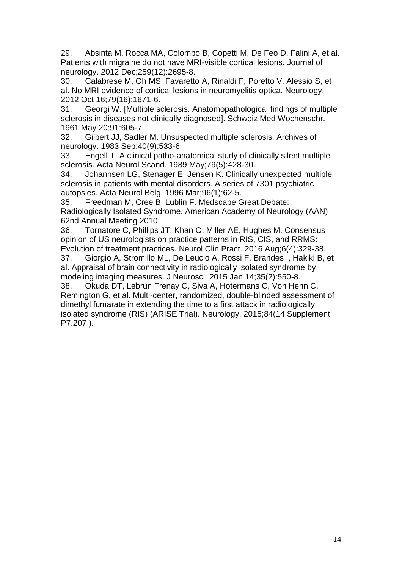29. Absinta M, Rocca MA, Colombo B, Copetti M, De Feo D, Falini A, et al. Patients with migraine do not have MRI-visible cortical lesions. Journal of neurology. 2012 Dec;259(12):2695-8.

30. Calabrese M, Oh MS, Favaretto A, Rinaldi F, Poretto V, Alessio S, et al. No MRI evidence of cortical lesions in neuromyelitis optica. Neurology. 2012 Oct 16;79(16):1671-6.

31. Georgi W. [Multiple sclerosis. Anatomopathological findings of multiple sclerosis in diseases not clinically diagnosed]. Schweiz Med Wochenschr. 1961 May 20;91:605-7.

32. Gilbert JJ, Sadler M. Unsuspected multiple sclerosis. Archives of neurology. 1983 Sep;40(9):533-6.

33. Engell T. A clinical patho-anatomical study of clinically silent multiple sclerosis. Acta Neurol Scand. 1989 May;79(5):428-30.

34. Johannsen LG, Stenager E, Jensen K. Clinically unexpected multiple sclerosis in patients with mental disorders. A series of 7301 psychiatric autopsies. Acta Neurol Belg. 1996 Mar;96(1):62-5.

35. Freedman M, Cree B, Lublin F. Medscape Great Debate: Radiologically Isolated Syndrome. American Academy of Neurology (AAN) 62nd Annual Meeting 2010.

36. Tornatore C, Phillips JT, Khan O, Miller AE, Hughes M. Consensus opinion of US neurologists on practice patterns in RIS, CIS, and RRMS: Evolution of treatment practices. Neurol Clin Pract. 2016 Aug;6(4):329-38.

37. Giorgio A, Stromillo ML, De Leucio A, Rossi F, Brandes I, Hakiki B, et al. Appraisal of brain connectivity in radiologically isolated syndrome by modeling imaging measures. J Neurosci. 2015 Jan 14;35(2):550-8.

38. Okuda DT, Lebrun Frenay C, Siva A, Hotermans C, Von Hehn C, Remington G, et al. Multi-center, randomized, double-blinded assessment of dimethyl fumarate in extending the time to a first attack in radiologically isolated syndrome (RIS) (ARISE Trial). Neurology. 2015;84(14 Supplement P7.207 ).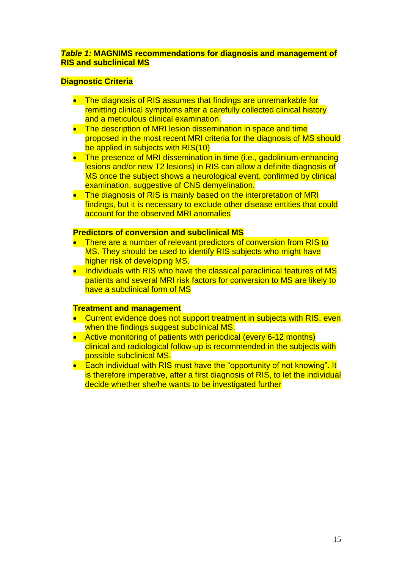### *Table 1:* **MAGNIMS recommendations for diagnosis and management of RIS and subclinical MS**

### **Diagnostic Criteria**

- The diagnosis of RIS assumes that findings are unremarkable for remitting clinical symptoms after a carefully collected clinical history and a meticulous clinical examination.
- The description of MRI lesion dissemination in space and time proposed in the most recent MRI criteria for the diagnosis of MS should be applied in subjects with RIS(10)
- The presence of MRI dissemination in time (i.e., gadolinium-enhancing lesions and/or new T2 lesions) in RIS can allow a definite diagnosis of MS once the subject shows a neurological event, confirmed by clinical examination, suggestive of CNS demyelination.
- The diagnosis of RIS is mainly based on the interpretation of MRI findings, but it is necessary to exclude other disease entities that could account for the observed MRI anomalies

### **Predictors of conversion and subclinical MS**

- There are a number of relevant predictors of conversion from RIS to MS. They should be used to identify RIS subjects who might have higher risk of developing MS.
- Individuals with RIS who have the classical paraclinical features of MS patients and several MRI risk factors for conversion to MS are likely to have a subclinical form of MS

#### **Treatment and management**

- Current evidence does not support treatment in subjects with RIS, even when the findings suggest subclinical MS.
- Active monitoring of patients with periodical (every 6-12 months) clinical and radiological follow-up is recommended in the subjects with possible subclinical MS.
- Each individual with RIS must have the "opportunity of not knowing". It is therefore imperative, after a first diagnosis of RIS, to let the individual decide whether she/he wants to be investigated further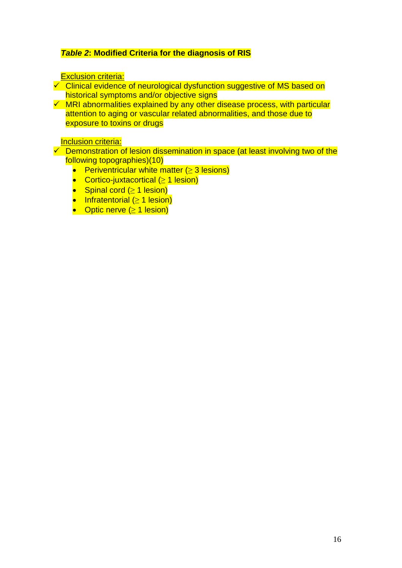# *Table 2***: Modified Criteria for the diagnosis of RIS**

### **Exclusion criteria:**

 $\overline{\smash[b]{\mathsf{C}}}$  Clinical evidence of neurological dysfunction suggestive of MS based on historical symptoms and/or objective signs

 $\checkmark$  MRI abnormalities explained by any other disease process, with particular attention to aging or vascular related abnormalities, and those due to exposure to toxins or drugs

### Inclusion criteria:

- $\overline{\smash[b]{\mathsf{C}}}$  Demonstration of lesion dissemination in space (at least involving two of the following topographies)(10)
	- **•** Periventricular white matter  $( \geq 3 \text{ lesions} )$
	- Cortico-juxtacortical (≥ 1 lesion)
	- Spinal cord (≥ 1 lesion)
	- Infratentorial (≥ 1 lesion)
	- Optic nerve  $(≥ 1$  lesion)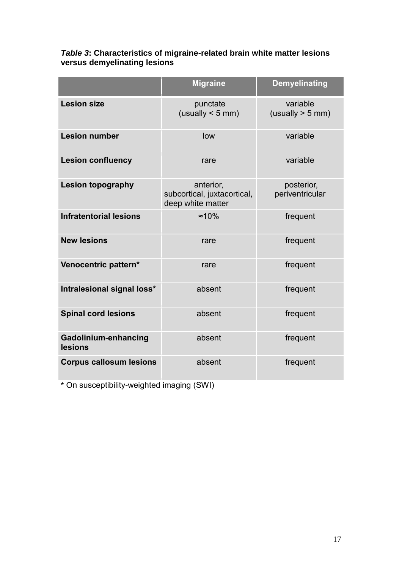|                                 | <b>Migraine</b>                                               | <b>Demyelinating</b>           |
|---------------------------------|---------------------------------------------------------------|--------------------------------|
| <b>Lesion size</b>              | punctate<br>(usually < 5 mm)                                  | variable<br>(usually $> 5$ mm) |
| <b>Lesion number</b>            | low                                                           | variable                       |
| <b>Lesion confluency</b>        | rare                                                          | variable                       |
| <b>Lesion topography</b>        | anterior,<br>subcortical, juxtacortical,<br>deep white matter | posterior,<br>periventricular  |
| <b>Infratentorial lesions</b>   | $\approx 10\%$                                                | frequent                       |
| <b>New lesions</b>              | rare                                                          | frequent                       |
| Venocentric pattern*            | rare                                                          | frequent                       |
| Intralesional signal loss*      | absent                                                        | frequent                       |
| <b>Spinal cord lesions</b>      | absent                                                        | frequent                       |
| Gadolinium-enhancing<br>lesions | absent                                                        | frequent                       |
| <b>Corpus callosum lesions</b>  | absent                                                        | frequent                       |

# *Table 3***: Characteristics of migraine-related brain white matter lesions versus demyelinating lesions**

\* On susceptibility-weighted imaging (SWI)